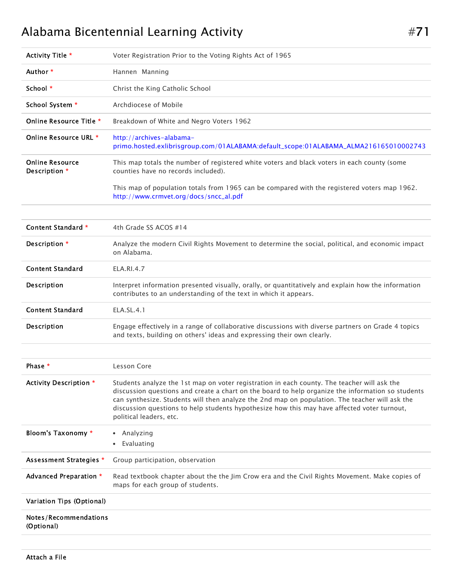## Alabama Bicentennial Learning Activity **Alabama** #71

| Activity Title *                        | Voter Registration Prior to the Voting Rights Act of 1965                                                                                                                                                                                                                                                                                                                                                                    |
|-----------------------------------------|------------------------------------------------------------------------------------------------------------------------------------------------------------------------------------------------------------------------------------------------------------------------------------------------------------------------------------------------------------------------------------------------------------------------------|
| Author *                                | Hannen Manning                                                                                                                                                                                                                                                                                                                                                                                                               |
| School $*$                              | Christ the King Catholic School                                                                                                                                                                                                                                                                                                                                                                                              |
| School System *                         | Archdiocese of Mobile                                                                                                                                                                                                                                                                                                                                                                                                        |
| Online Resource Title *                 | Breakdown of White and Negro Voters 1962                                                                                                                                                                                                                                                                                                                                                                                     |
| Online Resource URL *                   | http://archives-alabama-<br>primo.hosted.exlibrisgroup.com/01ALABAMA:default_scope:01ALABAMA_ALMA216165010002743                                                                                                                                                                                                                                                                                                             |
| <b>Online Resource</b><br>Description * | This map totals the number of registered white voters and black voters in each county (some<br>counties have no records included).                                                                                                                                                                                                                                                                                           |
|                                         | This map of population totals from 1965 can be compared with the registered voters map 1962.<br>http://www.crmvet.org/docs/sncc_al.pdf                                                                                                                                                                                                                                                                                       |
|                                         |                                                                                                                                                                                                                                                                                                                                                                                                                              |
| Content Standard *                      | 4th Grade SS ACOS #14                                                                                                                                                                                                                                                                                                                                                                                                        |
| Description *                           | Analyze the modern Civil Rights Movement to determine the social, political, and economic impact<br>on Alabama.                                                                                                                                                                                                                                                                                                              |
| <b>Content Standard</b>                 | <b>ELA.RI.4.7</b>                                                                                                                                                                                                                                                                                                                                                                                                            |
| Description                             | Interpret information presented visually, orally, or quantitatively and explain how the information<br>contributes to an understanding of the text in which it appears.                                                                                                                                                                                                                                                      |
| <b>Content Standard</b>                 | ELA.SL.4.1                                                                                                                                                                                                                                                                                                                                                                                                                   |
| Description                             | Engage effectively in a range of collaborative discussions with diverse partners on Grade 4 topics<br>and texts, building on others' ideas and expressing their own clearly.                                                                                                                                                                                                                                                 |
|                                         |                                                                                                                                                                                                                                                                                                                                                                                                                              |
| Phase *                                 | Lesson Core                                                                                                                                                                                                                                                                                                                                                                                                                  |
| <b>Activity Description *</b>           | Students analyze the 1st map on voter registration in each county. The teacher will ask the<br>discussion questions and create a chart on the board to help organize the information so students<br>can synthesize. Students will then analyze the 2nd map on population. The teacher will ask the<br>discussion questions to help students hypothesize how this may have affected voter turnout,<br>political leaders, etc. |
| Bloom's Taxonomy *                      | • Analyzing<br>Evaluating<br>$\bullet$                                                                                                                                                                                                                                                                                                                                                                                       |
| <b>Assessment Strategies *</b>          | Group participation, observation                                                                                                                                                                                                                                                                                                                                                                                             |
| Advanced Preparation *                  | Read textbook chapter about the the Jim Crow era and the Civil Rights Movement. Make copies of<br>maps for each group of students.                                                                                                                                                                                                                                                                                           |
| Variation Tips (Optional)               |                                                                                                                                                                                                                                                                                                                                                                                                                              |
| Notes/Recommendations<br>(Optional)     |                                                                                                                                                                                                                                                                                                                                                                                                                              |
|                                         |                                                                                                                                                                                                                                                                                                                                                                                                                              |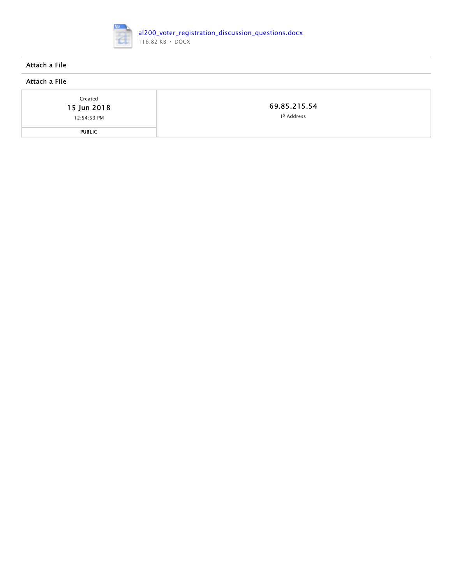

## Attach a File

## Attach a File

Created

15 Jun 2018

12:54:53 PM

PUBLIC

[69.85.215.54](http://ip-address-lookup-v4.com/ip/69.85.215.54) IP Address